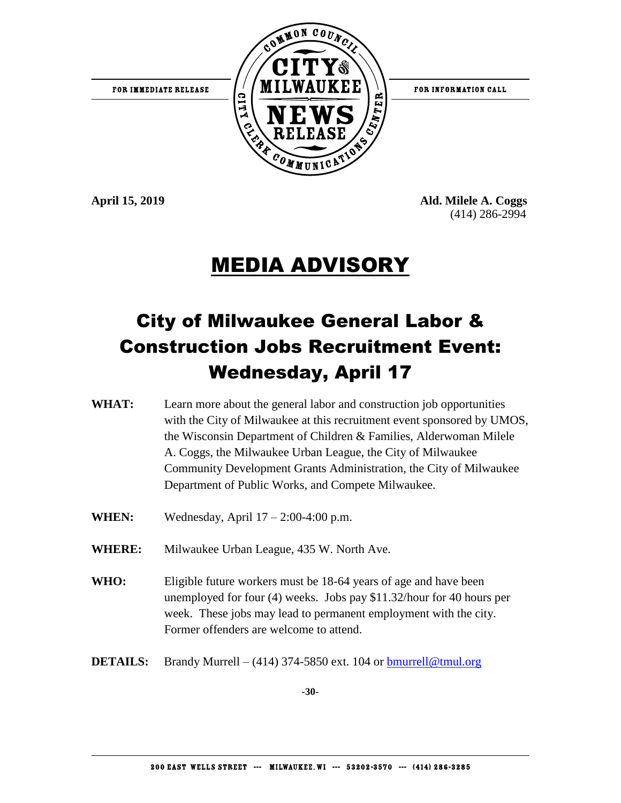

**April 15, 2019 Ald. Milele A. Coggs** (414) 286-2994

### MEDIA ADVISORY

### City of Milwaukee General Labor & Construction Jobs Recruitment Event: Wednesday, April 17

- **WHAT:** Learn more about the general labor and construction job opportunities with the City of Milwaukee at this recruitment event sponsored by UMOS, the Wisconsin Department of Children & Families, Alderwoman Milele A. Coggs, the Milwaukee Urban League, the City of Milwaukee Community Development Grants Administration, the City of Milwaukee Department of Public Works, and Compete Milwaukee.
- **WHEN:** Wednesday, April 17 2:00-4:00 p.m.
- **WHERE:** Milwaukee Urban League, 435 W. North Ave.
- **WHO:** Eligible future workers must be 18-64 years of age and have been unemployed for four (4) weeks. Jobs pay \$11.32/hour for 40 hours per week. These jobs may lead to permanent employment with the city. Former offenders are welcome to attend.
- **DETAILS:** Brandy Murrell (414) 374-5850 ext. 104 or [bmurrell@tmul.org](mailto:bmurrell@tmul.org)

**-30-**